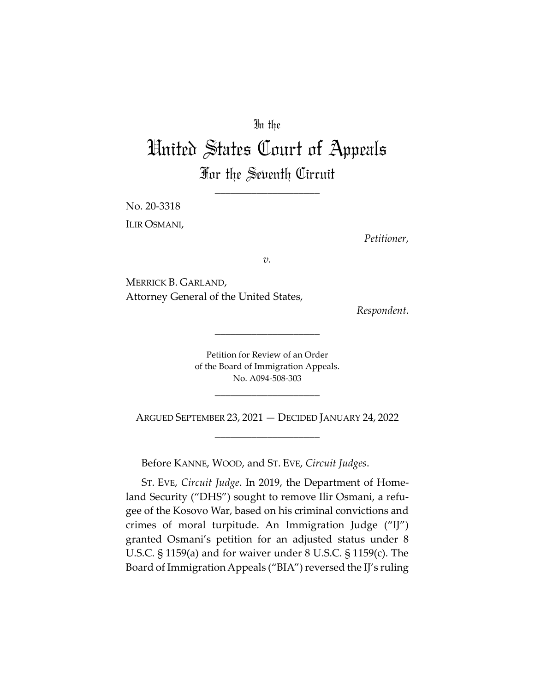## In the

# United States Court of Appeals For the Seventh Circuit

\_\_\_\_\_\_\_\_\_\_\_\_\_\_\_\_\_\_\_\_

No. 20-3318 ILIR OSMANI,

*Petitioner*,

*v.*

MERRICK B. GARLAND, Attorney General of the United States,

*Respondent*.

Petition for Review of an Order of the Board of Immigration Appeals. No. A094-508-303

\_\_\_\_\_\_\_\_\_\_\_\_\_\_\_\_\_\_\_\_

ARGUED SEPTEMBER 23, 2021 — DECIDED JANUARY 24, 2022 \_\_\_\_\_\_\_\_\_\_\_\_\_\_\_\_\_\_\_\_

\_\_\_\_\_\_\_\_\_\_\_\_\_\_\_\_\_\_\_\_

Before KANNE, WOOD, and ST. EVE, *Circuit Judges*.

ST. EVE, *Circuit Judge*. In 2019, the Department of Homeland Security ("DHS") sought to remove Ilir Osmani, a refugee of the Kosovo War, based on his criminal convictions and crimes of moral turpitude. An Immigration Judge ("IJ") granted Osmani's petition for an adjusted status under 8 U.S.C. § 1159(a) and for waiver under 8 U.S.C. § 1159(c). The Board of Immigration Appeals ("BIA") reversed the IJ's ruling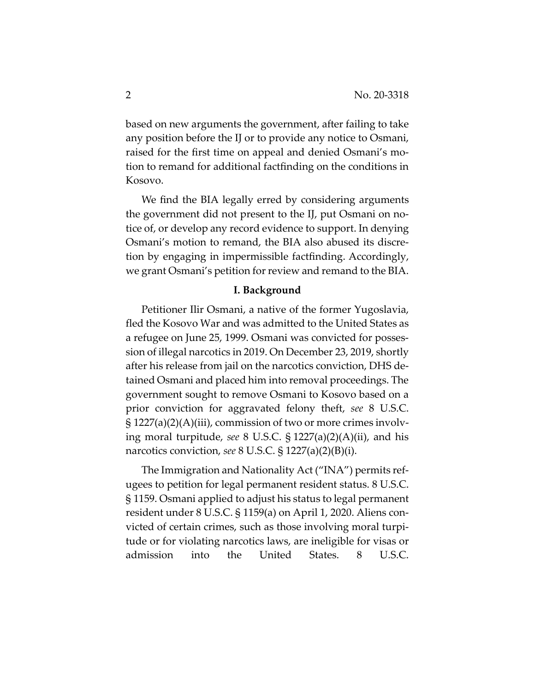based on new arguments the government, after failing to take any position before the IJ or to provide any notice to Osmani, raised for the first time on appeal and denied Osmani's motion to remand for additional factfinding on the conditions in Kosovo.

We find the BIA legally erred by considering arguments the government did not present to the IJ, put Osmani on notice of, or develop any record evidence to support. In denying Osmani's motion to remand, the BIA also abused its discretion by engaging in impermissible factfinding. Accordingly, we grant Osmani's petition for review and remand to the BIA.

#### **I. Background**

Petitioner Ilir Osmani, a native of the former Yugoslavia, fled the Kosovo War and was admitted to the United States as a refugee on June 25, 1999. Osmani was convicted for possession of illegal narcotics in 2019. On December 23, 2019, shortly after his release from jail on the narcotics conviction, DHS detained Osmani and placed him into removal proceedings. The government sought to remove Osmani to Kosovo based on a prior conviction for aggravated felony theft, *see* 8 U.S.C. § 1227(a)(2)(A)(iii), commission of two or more crimes involving moral turpitude, *see* 8 U.S.C. § 1227(a)(2)(A)(ii), and his narcotics conviction, *see* 8 U.S.C. § 1227(a)(2)(B)(i).

The Immigration and Nationality Act ("INA") permits refugees to petition for legal permanent resident status. 8 U.S.C. § 1159. Osmani applied to adjust his status to legal permanent resident under 8 U.S.C. § 1159(a) on April 1, 2020. Aliens convicted of certain crimes, such as those involving moral turpitude or for violating narcotics laws, are ineligible for visas or admission into the United States. 8 U.S.C.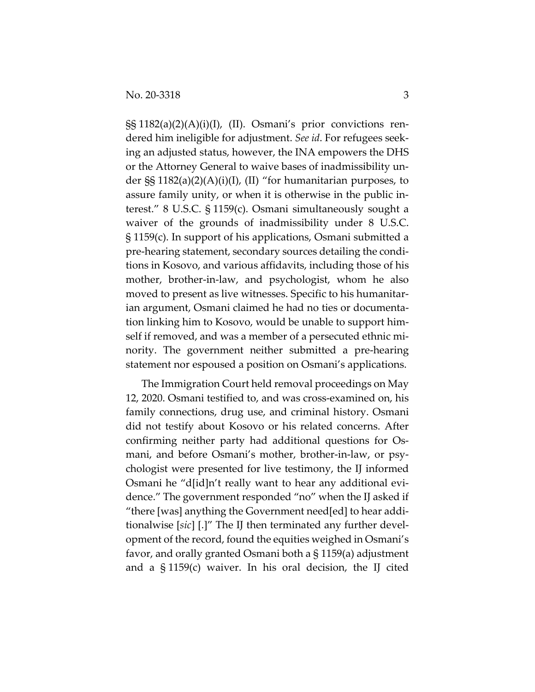§§ 1182(a)(2)(A)(i)(I), (II). Osmani's prior convictions rendered him ineligible for adjustment. *See id*. For refugees seeking an adjusted status, however, the INA empowers the DHS or the Attorney General to waive bases of inadmissibility under §§ 1182(a)(2)(A)(i)(I), (II) "for humanitarian purposes, to assure family unity, or when it is otherwise in the public interest." 8 U.S.C. § 1159(c). Osmani simultaneously sought a waiver of the grounds of inadmissibility under 8 U.S.C. § 1159(c). In support of his applications, Osmani submitted a pre-hearing statement, secondary sources detailing the conditions in Kosovo, and various affidavits, including those of his mother, brother-in-law, and psychologist, whom he also moved to present as live witnesses. Specific to his humanitarian argument, Osmani claimed he had no ties or documentation linking him to Kosovo, would be unable to support himself if removed, and was a member of a persecuted ethnic minority. The government neither submitted a pre-hearing statement nor espoused a position on Osmani's applications.

The Immigration Court held removal proceedings on May 12, 2020. Osmani testified to, and was cross-examined on, his family connections, drug use, and criminal history. Osmani did not testify about Kosovo or his related concerns. After confirming neither party had additional questions for Osmani, and before Osmani's mother, brother-in-law, or psychologist were presented for live testimony, the IJ informed Osmani he "d[id]n't really want to hear any additional evidence." The government responded "no" when the IJ asked if "there [was] anything the Government need[ed] to hear additionalwise [*sic*] [.]" The IJ then terminated any further development of the record, found the equities weighed in Osmani's favor, and orally granted Osmani both a § 1159(a) adjustment and a § 1159(c) waiver. In his oral decision, the IJ cited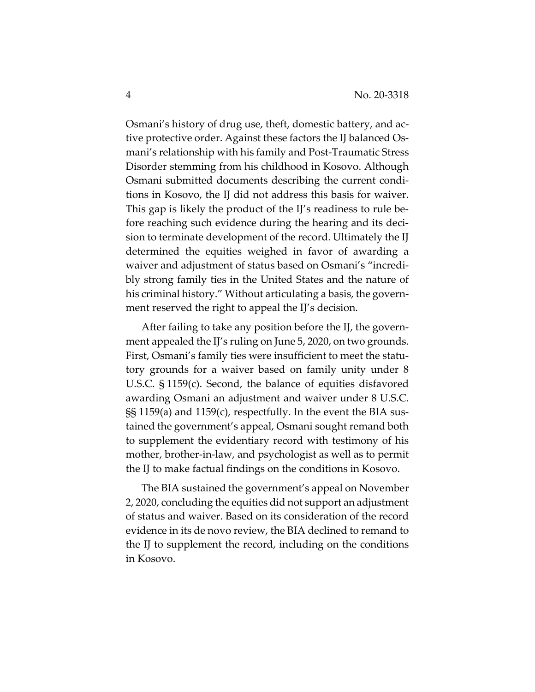Osmani's history of drug use, theft, domestic battery, and active protective order. Against these factors the IJ balanced Osmani's relationship with his family and Post-Traumatic Stress Disorder stemming from his childhood in Kosovo. Although Osmani submitted documents describing the current conditions in Kosovo, the IJ did not address this basis for waiver. This gap is likely the product of the IJ's readiness to rule before reaching such evidence during the hearing and its decision to terminate development of the record. Ultimately the IJ determined the equities weighed in favor of awarding a waiver and adjustment of status based on Osmani's "incredibly strong family ties in the United States and the nature of his criminal history." Without articulating a basis, the government reserved the right to appeal the IJ's decision.

After failing to take any position before the IJ, the government appealed the IJ's ruling on June 5, 2020, on two grounds. First, Osmani's family ties were insufficient to meet the statutory grounds for a waiver based on family unity under 8 U.S.C. § 1159(c). Second, the balance of equities disfavored awarding Osmani an adjustment and waiver under 8 U.S.C. §§ 1159(a) and 1159(c), respectfully. In the event the BIA sustained the government's appeal, Osmani sought remand both to supplement the evidentiary record with testimony of his mother, brother-in-law, and psychologist as well as to permit the IJ to make factual findings on the conditions in Kosovo.

The BIA sustained the government's appeal on November 2, 2020, concluding the equities did not support an adjustment of status and waiver. Based on its consideration of the record evidence in its de novo review, the BIA declined to remand to the IJ to supplement the record, including on the conditions in Kosovo.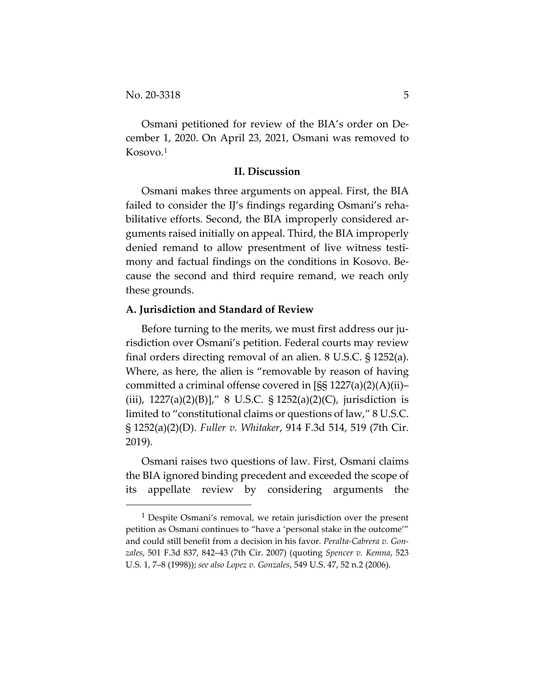Osmani petitioned for review of the BIA's order on December 1, 2020. On April 23, 2021, Osmani was removed to Kosovo.1

#### **II. Discussion**

Osmani makes three arguments on appeal. First, the BIA failed to consider the IJ's findings regarding Osmani's rehabilitative efforts. Second, the BIA improperly considered arguments raised initially on appeal. Third, the BIA improperly denied remand to allow presentment of live witness testimony and factual findings on the conditions in Kosovo. Because the second and third require remand, we reach only these grounds.

#### **A. Jurisdiction and Standard of Review**

Before turning to the merits, we must first address our jurisdiction over Osmani's petition. Federal courts may review final orders directing removal of an alien. 8 U.S.C. § 1252(a). Where, as here, the alien is "removable by reason of having committed a criminal offense covered in [§§ 1227(a)(2)(A)(ii)– (iii),  $1227(a)(2)(B)$ ]," 8 U.S.C. §  $1252(a)(2)(C)$ , jurisdiction is limited to "constitutional claims or questions of law," 8 U.S.C. § 1252(a)(2)(D). *Fuller v. Whitaker*, 914 F.3d 514, 519 (7th Cir. 2019).

Osmani raises two questions of law. First, Osmani claims the BIA ignored binding precedent and exceeded the scope of its appellate review by considering arguments the

<sup>&</sup>lt;sup>1</sup> Despite Osmani's removal, we retain jurisdiction over the present petition as Osmani continues to "have a 'personal stake in the outcome'" and could still benefit from a decision in his favor. *Peralta-Cabrera v. Gonzales*, 501 F.3d 837, 842–43 (7th Cir. 2007) (quoting *Spencer v. Kemna*, 523 U.S. 1, 7–8 (1998)); *see also Lopez v. Gonzales*, 549 U.S. 47, 52 n.2 (2006).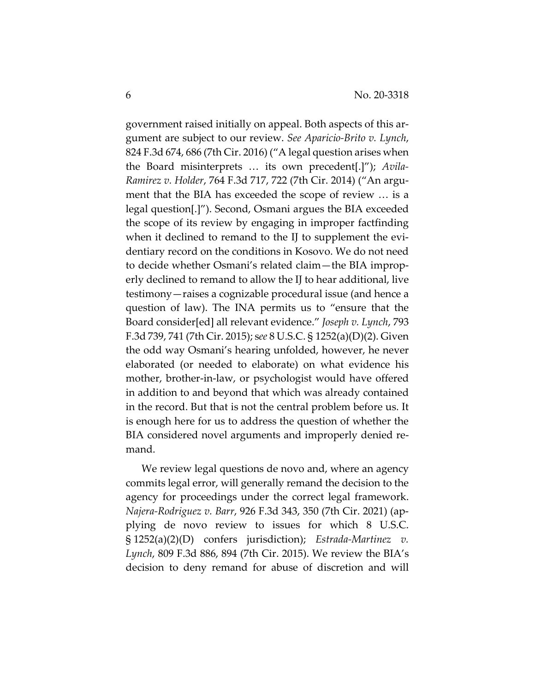government raised initially on appeal. Both aspects of this argument are subject to our review. *See Aparicio-Brito v. Lynch*, 824 F.3d 674, 686 (7th Cir. 2016) ("A legal question arises when the Board misinterprets … its own precedent[.]"); *Avila-Ramirez v. Holder*, 764 F.3d 717, 722 (7th Cir. 2014) ("An argument that the BIA has exceeded the scope of review … is a legal question[.]"). Second, Osmani argues the BIA exceeded the scope of its review by engaging in improper factfinding when it declined to remand to the IJ to supplement the evidentiary record on the conditions in Kosovo. We do not need to decide whether Osmani's related claim—the BIA improperly declined to remand to allow the IJ to hear additional, live testimony—raises a cognizable procedural issue (and hence a question of law). The INA permits us to "ensure that the Board consider[ed] all relevant evidence." *Joseph v. Lynch*, 793 F.3d 739, 741 (7th Cir. 2015); s*ee* 8 U.S.C. § 1252(a)(D)(2). Given the odd way Osmani's hearing unfolded, however, he never elaborated (or needed to elaborate) on what evidence his mother, brother-in-law, or psychologist would have offered in addition to and beyond that which was already contained in the record. But that is not the central problem before us. It is enough here for us to address the question of whether the BIA considered novel arguments and improperly denied remand.

We review legal questions de novo and, where an agency commits legal error, will generally remand the decision to the agency for proceedings under the correct legal framework. *Najera-Rodriguez v. Barr*, 926 F.3d 343, 350 (7th Cir. 2021) (applying de novo review to issues for which 8 U.S.C. § 1252(a)(2)(D) confers jurisdiction); *Estrada-Martinez v. Lynch*, 809 F.3d 886, 894 (7th Cir. 2015). We review the BIA's decision to deny remand for abuse of discretion and will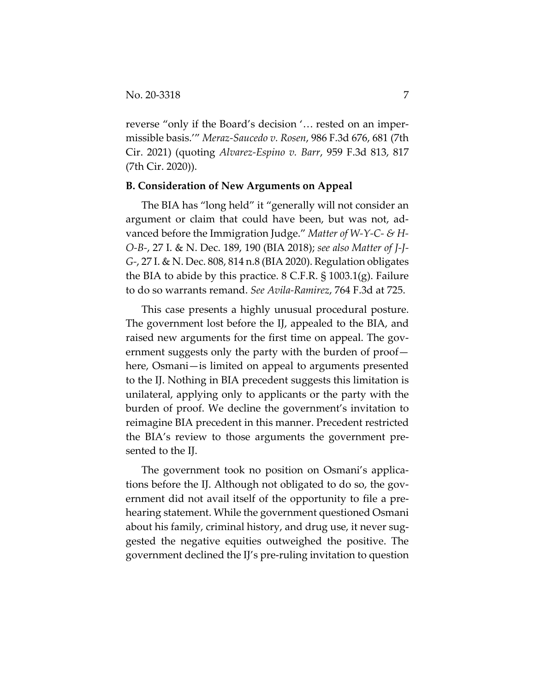reverse "only if the Board's decision '… rested on an impermissible basis.'" *Meraz-Saucedo v. Rosen*, 986 F.3d 676, 681 (7th Cir. 2021) (quoting *Alvarez-Espino v. Barr*, 959 F.3d 813, 817 (7th Cir. 2020)).

#### **B. Consideration of New Arguments on Appeal**

The BIA has "long held" it "generally will not consider an argument or claim that could have been, but was not, advanced before the Immigration Judge." *Matter of W-Y-C- & H-O-B-*, 27 I. & N. Dec. 189, 190 (BIA 2018); *see also Matter of J-J-G-*, 27 I. & N. Dec. 808, 814 n.8 (BIA 2020). Regulation obligates the BIA to abide by this practice. 8 C.F.R. § 1003.1(g). Failure to do so warrants remand. *See Avila-Ramirez*, 764 F.3d at 725.

This case presents a highly unusual procedural posture. The government lost before the IJ, appealed to the BIA, and raised new arguments for the first time on appeal. The government suggests only the party with the burden of proof here, Osmani—is limited on appeal to arguments presented to the IJ. Nothing in BIA precedent suggests this limitation is unilateral, applying only to applicants or the party with the burden of proof. We decline the government's invitation to reimagine BIA precedent in this manner. Precedent restricted the BIA's review to those arguments the government presented to the IJ.

The government took no position on Osmani's applications before the IJ. Although not obligated to do so, the government did not avail itself of the opportunity to file a prehearing statement. While the government questioned Osmani about his family, criminal history, and drug use, it never suggested the negative equities outweighed the positive. The government declined the IJ's pre-ruling invitation to question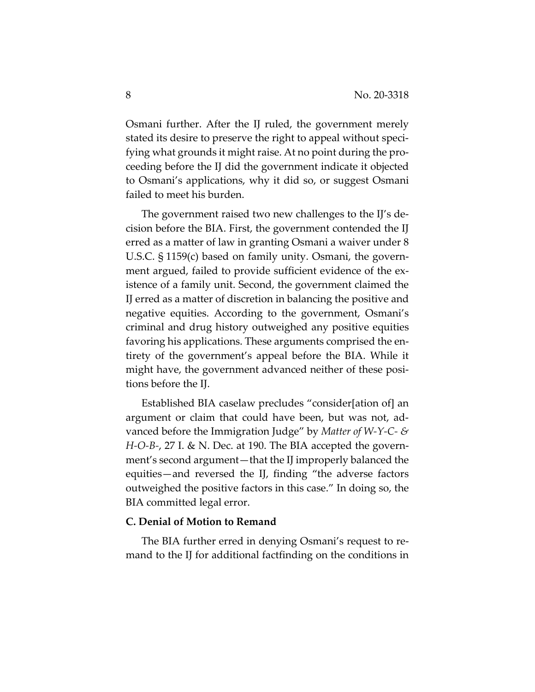Osmani further. After the IJ ruled, the government merely stated its desire to preserve the right to appeal without specifying what grounds it might raise. At no point during the proceeding before the IJ did the government indicate it objected to Osmani's applications, why it did so, or suggest Osmani failed to meet his burden.

The government raised two new challenges to the IJ's decision before the BIA. First, the government contended the IJ erred as a matter of law in granting Osmani a waiver under 8 U.S.C. § 1159(c) based on family unity. Osmani, the government argued, failed to provide sufficient evidence of the existence of a family unit. Second, the government claimed the IJ erred as a matter of discretion in balancing the positive and negative equities. According to the government, Osmani's criminal and drug history outweighed any positive equities favoring his applications. These arguments comprised the entirety of the government's appeal before the BIA. While it might have, the government advanced neither of these positions before the IJ.

Established BIA caselaw precludes "consider[ation of] an argument or claim that could have been, but was not, advanced before the Immigration Judge" by *Matter of W-Y-C- & H-O-B-*, 27 I. & N. Dec. at 190. The BIA accepted the government's second argument—that the IJ improperly balanced the equities—and reversed the IJ, finding "the adverse factors outweighed the positive factors in this case." In doing so, the BIA committed legal error.

### **C. Denial of Motion to Remand**

The BIA further erred in denying Osmani's request to remand to the IJ for additional factfinding on the conditions in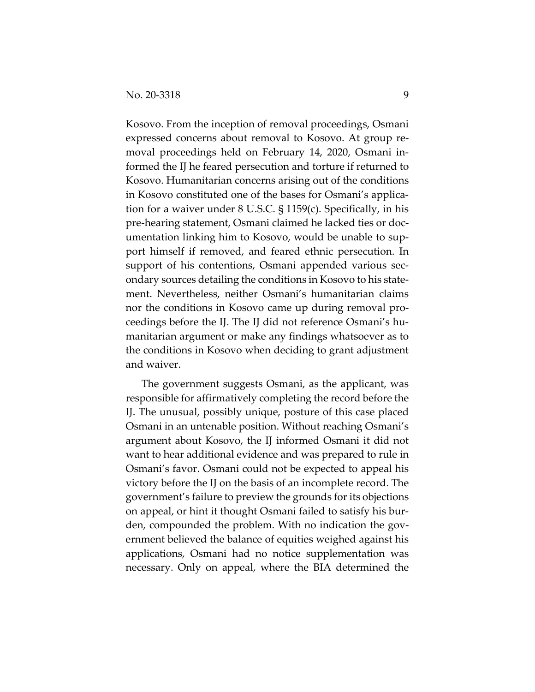Kosovo. From the inception of removal proceedings, Osmani expressed concerns about removal to Kosovo. At group removal proceedings held on February 14, 2020, Osmani informed the IJ he feared persecution and torture if returned to Kosovo. Humanitarian concerns arising out of the conditions in Kosovo constituted one of the bases for Osmani's application for a waiver under 8 U.S.C. § 1159(c). Specifically, in his pre-hearing statement, Osmani claimed he lacked ties or documentation linking him to Kosovo, would be unable to support himself if removed, and feared ethnic persecution. In support of his contentions, Osmani appended various secondary sources detailing the conditions in Kosovo to his statement. Nevertheless, neither Osmani's humanitarian claims nor the conditions in Kosovo came up during removal proceedings before the IJ. The IJ did not reference Osmani's humanitarian argument or make any findings whatsoever as to the conditions in Kosovo when deciding to grant adjustment and waiver.

The government suggests Osmani, as the applicant, was responsible for affirmatively completing the record before the IJ. The unusual, possibly unique, posture of this case placed Osmani in an untenable position. Without reaching Osmani's argument about Kosovo, the IJ informed Osmani it did not want to hear additional evidence and was prepared to rule in Osmani's favor. Osmani could not be expected to appeal his victory before the IJ on the basis of an incomplete record. The government's failure to preview the grounds for its objections on appeal, or hint it thought Osmani failed to satisfy his burden, compounded the problem. With no indication the government believed the balance of equities weighed against his applications, Osmani had no notice supplementation was necessary. Only on appeal, where the BIA determined the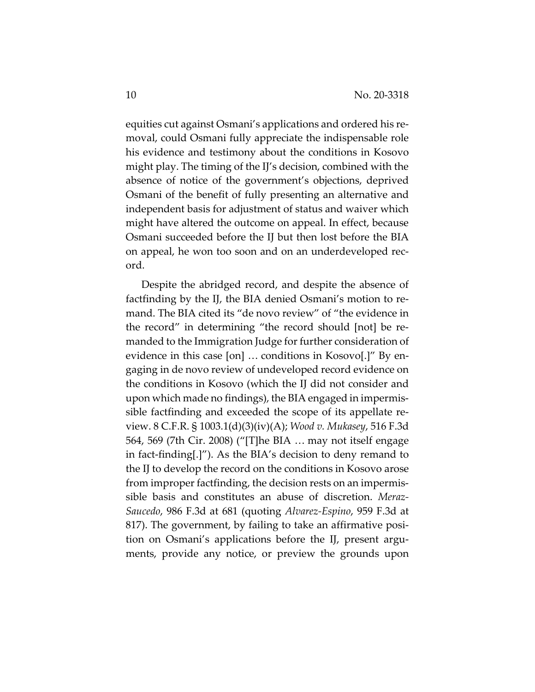equities cut against Osmani's applications and ordered his removal, could Osmani fully appreciate the indispensable role his evidence and testimony about the conditions in Kosovo might play. The timing of the IJ's decision, combined with the absence of notice of the government's objections, deprived Osmani of the benefit of fully presenting an alternative and independent basis for adjustment of status and waiver which might have altered the outcome on appeal. In effect, because Osmani succeeded before the IJ but then lost before the BIA on appeal, he won too soon and on an underdeveloped record.

Despite the abridged record, and despite the absence of factfinding by the IJ, the BIA denied Osmani's motion to remand. The BIA cited its "de novo review" of "the evidence in the record" in determining "the record should [not] be remanded to the Immigration Judge for further consideration of evidence in this case [on] … conditions in Kosovo[.]" By engaging in de novo review of undeveloped record evidence on the conditions in Kosovo (which the IJ did not consider and upon which made no findings), the BIA engaged in impermissible factfinding and exceeded the scope of its appellate review. 8 C.F.R. § 1003.1(d)(3)(iv)(A); *Wood v. Mukasey*, 516 F.3d 564, 569 (7th Cir. 2008) ("[T]he BIA … may not itself engage in fact-finding[.]"). As the BIA's decision to deny remand to the IJ to develop the record on the conditions in Kosovo arose from improper factfinding, the decision rests on an impermissible basis and constitutes an abuse of discretion. *Meraz-Saucedo*, 986 F.3d at 681 (quoting *Alvarez-Espino*, 959 F.3d at 817). The government, by failing to take an affirmative position on Osmani's applications before the IJ, present arguments, provide any notice, or preview the grounds upon